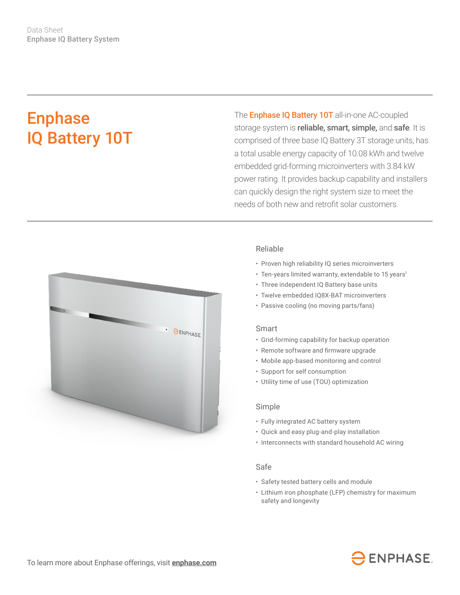# Enphase IQ Battery 10T

The **Enphase IQ Battery 10T** all-in-one AC-coupled storage system is reliable, smart, simple, and safe. It is comprised of three base IQ Battery 3T storage units, has a total usable energy capacity of 10.08 kWh and twelve embedded grid-forming microinverters with 3.84 kW power rating. It provides backup capability and installers can quickly design the right system size to meet the needs of both new and retrofit solar customers.



## Reliable

- Proven high reliability IQ series microinverters
- Ten-years limited warranty, extendable to 15 years<sup>1</sup>
- Three independent IQ Battery base units
- Twelve embedded IQ8X-BAT microinverters
- Passive cooling (no moving parts/fans)

#### Smart

- Grid-forming capability for backup operation
- • Remote software and firmware upgrade
- Mobile app-based monitoring and control
- Support for self consumption
- Utility time of use (TOU) optimization

### Simple

- Fully integrated AC battery system
- Quick and easy plug-and-play installation
- Interconnects with standard household AC wiring

### Safe

- Safety tested battery cells and module
- Lithium iron phosphate (LFP) chemistry for maximum safety and longevity